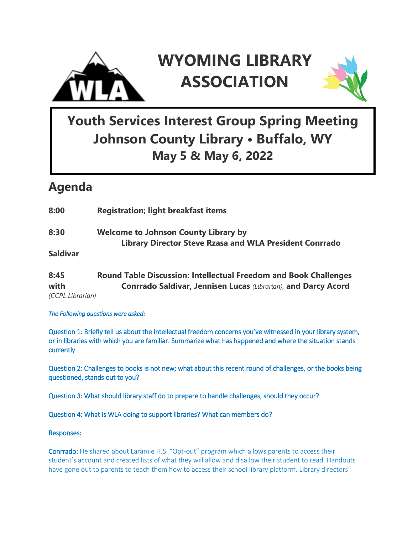

# **WYOMING LIBRARY ASSOCIATION**



## **Youth Services Interest Group Spring Meeting Johnson County Library • Buffalo, WY May 5 & May 6, 2022**

### **Agenda**

| <b>Registration; light breakfast items</b>                              |
|-------------------------------------------------------------------------|
| <b>Welcome to Johnson County Library by</b>                             |
| <b>Library Director Steve Rzasa and WLA President Conrrado</b>          |
|                                                                         |
| <b>Round Table Discussion: Intellectual Freedom and Book Challenges</b> |
| Conrrado Saldivar, Jennisen Lucas (Librarian), and Darcy Acord          |
|                                                                         |

*(CCPL Librarian)*

*The Following questions were asked:* 

Question 1: Briefly tell us about the intellectual freedom concerns you've witnessed in your library system, or in libraries with which you are familiar. Summarize what has happened and where the situation stands currently

Question 2: Challenges to books is not new; what about this recent round of challenges, or the books being questioned, stands out to you?

Question 3: What should library staff do to prepare to handle challenges, should they occur?

Question 4: What is WLA doing to support libraries? What can members do?

Responses:

Conrrado: He shared about Laramie H.S. "Opt-out" program which allows parents to access their student's account and created lists of what they will allow and disallow their student to read. Handouts have gone out to parents to teach them how to access their school library platform. Library directors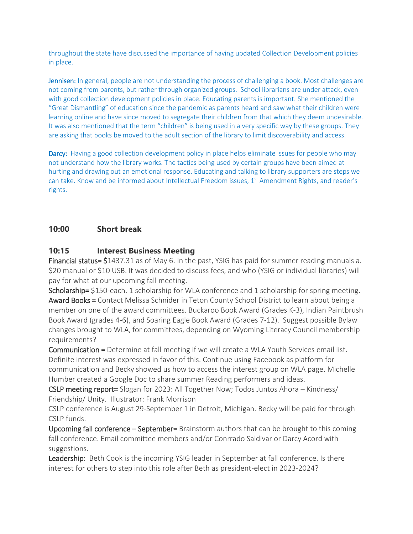throughout the state have discussed the importance of having updated Collection Development policies in place.

Jennisen: In general, people are not understanding the process of challenging a book. Most challenges are not coming from parents, but rather through organized groups. School librarians are under attack, even with good collection development policies in place. Educating parents is important. She mentioned the "Great Dismantling" of education since the pandemic as parents heard and saw what their children were learning online and have since moved to segregate their children from that which they deem undesirable. It was also mentioned that the term "children" is being used in a very specific way by these groups. They are asking that books be moved to the adult section of the library to limit discoverability and access.

Darcy: Having a good collection development policy in place helps eliminate issues for people who may not understand how the library works. The tactics being used by certain groups have been aimed at hurting and drawing out an emotional response. Educating and talking to library supporters are steps we can take. Know and be informed about Intellectual Freedom issues, 1<sup>st</sup> Amendment Rights, and reader's rights.

### **10:00 Short break**

#### **10:15 Interest Business Meeting**

Financial status= \$1437.31 as of May 6. In the past, YSIG has paid for summer reading manuals a. \$20 manual or \$10 USB. It was decided to discuss fees, and who (YSIG or individual libraries) will pay for what at our upcoming fall meeting.

Scholarship= \$150-each. 1 scholarship for WLA conference and 1 scholarship for spring meeting. Award Books = Contact Melissa Schnider in Teton County School District to learn about being a member on one of the award committees. Buckaroo Book Award (Grades K-3), Indian Paintbrush Book Award (grades 4-6), and Soaring Eagle Book Award (Grades 7-12). Suggest possible Bylaw changes brought to WLA, for committees, depending on Wyoming Literacy Council membership requirements?

Communication = Determine at fall meeting if we will create a WLA Youth Services email list. Definite interest was expressed in favor of this. Continue using Facebook as platform for communication and Becky showed us how to access the interest group on WLA page. Michelle Humber created a Google Doc to share summer Reading performers and ideas.

CSLP meeting report= Slogan for 2023: All Together Now; Todos Juntos Ahora – Kindness/ Friendship/ Unity. Illustrator: Frank Morrison

CSLP conference is August 29-September 1 in Detroit, Michigan. Becky will be paid for through CSLP funds.

Upcoming fall conference – September= Brainstorm authors that can be brought to this coming fall conference. Email committee members and/or Conrrado Saldivar or Darcy Acord with suggestions.

Leadership: Beth Cook is the incoming YSIG leader in September at fall conference. Is there interest for others to step into this role after Beth as president-elect in 2023-2024?